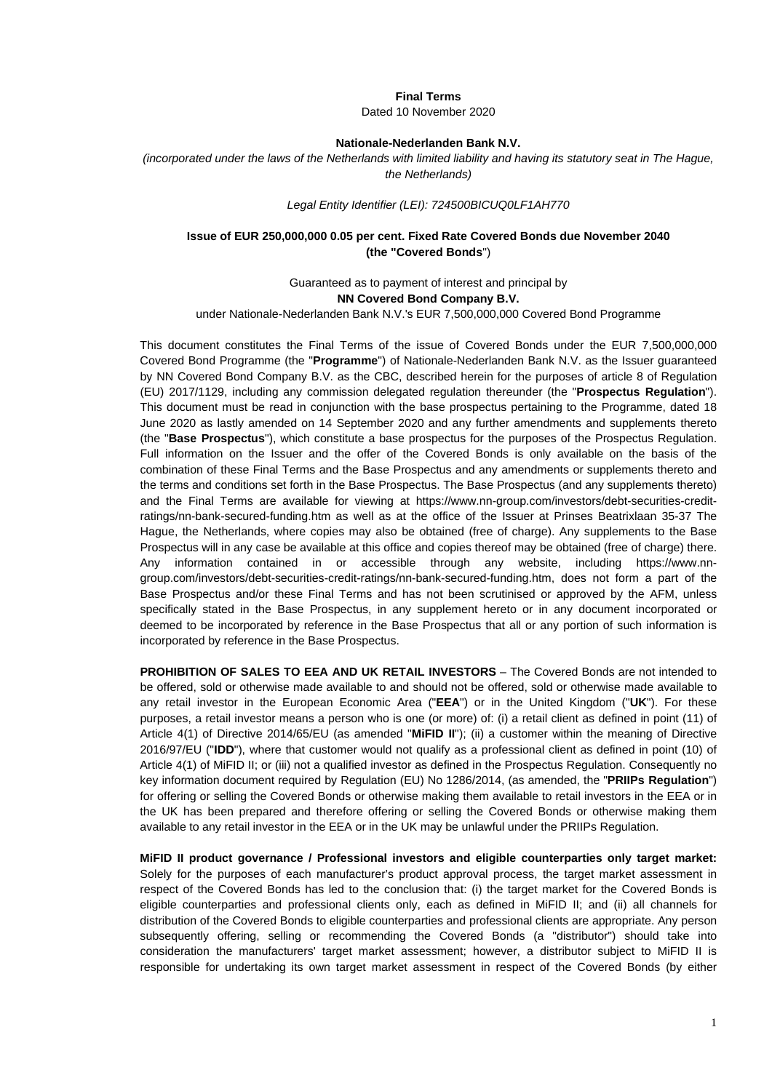#### **Final Terms**

Dated 10 November 2020

#### **Nationale-Nederlanden Bank N.V.**

*(incorporated under the laws of the Netherlands with limited liability and having its statutory seat in The Hague, the Netherlands)*

#### *Legal Entity Identifier (LEI): 724500BICUQ0LF1AH770*

### **Issue of EUR 250,000,000 0.05 per cent. Fixed Rate Covered Bonds due November 2040 (the "Covered Bonds**")

Guaranteed as to payment of interest and principal by **NN Covered Bond Company B.V.**

under Nationale-Nederlanden Bank N.V.'s EUR 7,500,000,000 Covered Bond Programme

This document constitutes the Final Terms of the issue of Covered Bonds under the EUR 7,500,000,000 Covered Bond Programme (the "**Programme**") of Nationale-Nederlanden Bank N.V. as the Issuer guaranteed by NN Covered Bond Company B.V. as the CBC, described herein for the purposes of article 8 of Regulation (EU) 2017/1129, including any commission delegated regulation thereunder (the "**Prospectus Regulation**"). This document must be read in conjunction with the base prospectus pertaining to the Programme, dated 18 June 2020 as lastly amended on 14 September 2020 and any further amendments and supplements thereto (the "**Base Prospectus**"), which constitute a base prospectus for the purposes of the Prospectus Regulation. Full information on the Issuer and the offer of the Covered Bonds is only available on the basis of the combination of these Final Terms and the Base Prospectus and any amendments or supplements thereto and the terms and conditions set forth in the Base Prospectus. The Base Prospectus (and any supplements thereto) and the Final Terms are available for viewing at [https://www.nn-group.com/investors/debt-securities-credit](https://urldefense.com/v3/__https:/www.nn-group.com/investors/debt-securities-credit-ratings/nn-bank-secured-funding.htm__;!!JMiYFPDqHV3Cgg!GLvIYaKAI8G-QEZgNAMmwHuFUMzYGGPITBU3ju8y3B7fbcQNjeRcMKRe-PJU2dmyxLq5St3X$)[ratings/nn-bank-secured-funding.htm](https://urldefense.com/v3/__https:/www.nn-group.com/investors/debt-securities-credit-ratings/nn-bank-secured-funding.htm__;!!JMiYFPDqHV3Cgg!GLvIYaKAI8G-QEZgNAMmwHuFUMzYGGPITBU3ju8y3B7fbcQNjeRcMKRe-PJU2dmyxLq5St3X$) as well as at the office of the Issuer at Prinses Beatrixlaan 35-37 The Hague, the Netherlands, where copies may also be obtained (free of charge). Any supplements to the Base Prospectus will in any case be available at this office and copies thereof may be obtained (free of charge) there. Any information contained in or accessible through any website, including [https://www.nn](https://urldefense.com/v3/__https:/www.nn-group.com/investors/debt-securities-credit-ratings/nn-bank-secured-funding.htm__;!!JMiYFPDqHV3Cgg!GLvIYaKAI8G-QEZgNAMmwHuFUMzYGGPITBU3ju8y3B7fbcQNjeRcMKRe-PJU2dmyxLq5St3X$)[group.com/investors/debt-securities-credit-ratings/nn-bank-secured-funding.htm,](https://urldefense.com/v3/__https:/www.nn-group.com/investors/debt-securities-credit-ratings/nn-bank-secured-funding.htm__;!!JMiYFPDqHV3Cgg!GLvIYaKAI8G-QEZgNAMmwHuFUMzYGGPITBU3ju8y3B7fbcQNjeRcMKRe-PJU2dmyxLq5St3X$) does not form a part of the Base Prospectus and/or these Final Terms and has not been scrutinised or approved by the AFM, unless specifically stated in the Base Prospectus, in any supplement hereto or in any document incorporated or deemed to be incorporated by reference in the Base Prospectus that all or any portion of such information is incorporated by reference in the Base Prospectus.

**PROHIBITION OF SALES TO EEA AND UK RETAIL INVESTORS** – The Covered Bonds are not intended to be offered, sold or otherwise made available to and should not be offered, sold or otherwise made available to any retail investor in the European Economic Area ("**EEA**") or in the United Kingdom ("**UK**"). For these purposes, a retail investor means a person who is one (or more) of: (i) a retail client as defined in point (11) of Article 4(1) of Directive 2014/65/EU (as amended "**MiFID II**"); (ii) a customer within the meaning of Directive 2016/97/EU ("**IDD**"), where that customer would not qualify as a professional client as defined in point (10) of Article 4(1) of MiFID II; or (iii) not a qualified investor as defined in the Prospectus Regulation. Consequently no key information document required by Regulation (EU) No 1286/2014, (as amended, the "**PRIIPs Regulation**") for offering or selling the Covered Bonds or otherwise making them available to retail investors in the EEA or in the UK has been prepared and therefore offering or selling the Covered Bonds or otherwise making them available to any retail investor in the EEA or in the UK may be unlawful under the PRIIPs Regulation.

**MiFID II product governance / Professional investors and eligible counterparties only target market:**  Solely for the purposes of each manufacturer's product approval process, the target market assessment in respect of the Covered Bonds has led to the conclusion that: (i) the target market for the Covered Bonds is eligible counterparties and professional clients only, each as defined in MiFID II; and (ii) all channels for distribution of the Covered Bonds to eligible counterparties and professional clients are appropriate. Any person subsequently offering, selling or recommending the Covered Bonds (a "distributor") should take into consideration the manufacturers' target market assessment; however, a distributor subject to MiFID II is responsible for undertaking its own target market assessment in respect of the Covered Bonds (by either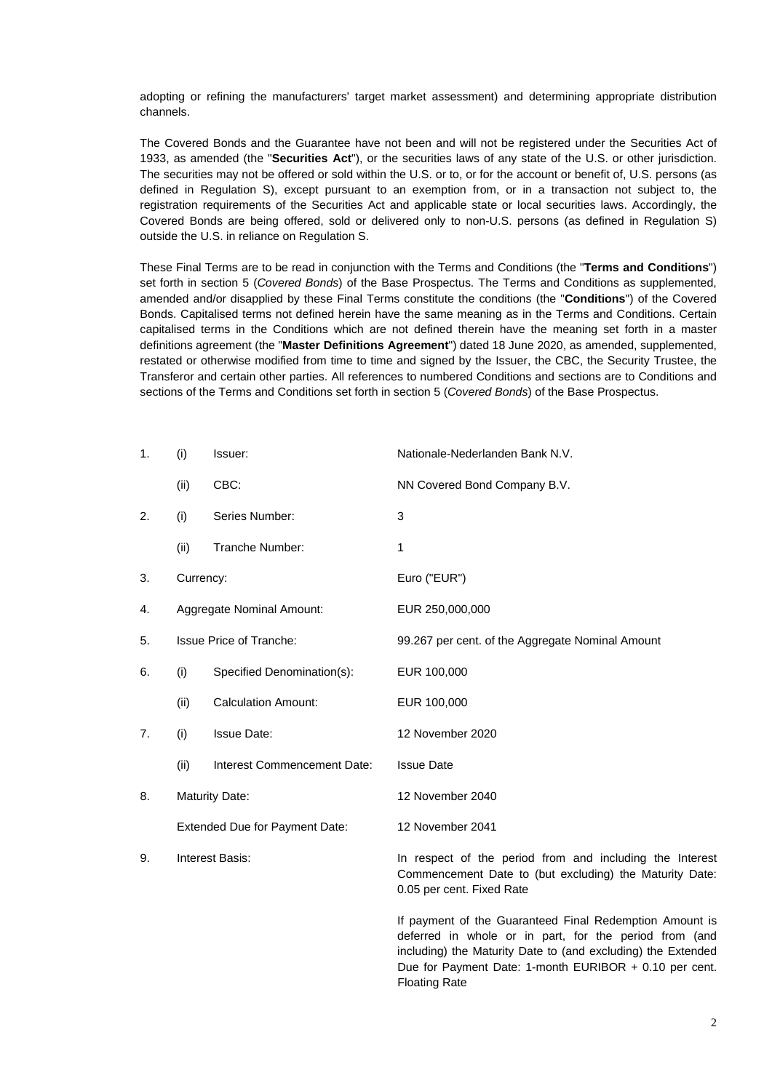adopting or refining the manufacturers' target market assessment) and determining appropriate distribution channels.

The Covered Bonds and the Guarantee have not been and will not be registered under the Securities Act of 1933, as amended (the "**Securities Act**"), or the securities laws of any state of the U.S. or other jurisdiction. The securities may not be offered or sold within the U.S. or to, or for the account or benefit of, U.S. persons (as defined in Regulation S), except pursuant to an exemption from, or in a transaction not subject to, the registration requirements of the Securities Act and applicable state or local securities laws. Accordingly, the Covered Bonds are being offered, sold or delivered only to non-U.S. persons (as defined in Regulation S) outside the U.S. in reliance on Regulation S.

These Final Terms are to be read in conjunction with the Terms and Conditions (the "**Terms and Conditions**") set forth in section 5 (*Covered Bonds*) of the Base Prospectus. The Terms and Conditions as supplemented, amended and/or disapplied by these Final Terms constitute the conditions (the "**Conditions**") of the Covered Bonds. Capitalised terms not defined herein have the same meaning as in the Terms and Conditions. Certain capitalised terms in the Conditions which are not defined therein have the meaning set forth in a master definitions agreement (the "**Master Definitions Agreement**") dated 18 June 2020, as amended, supplemented, restated or otherwise modified from time to time and signed by the Issuer, the CBC, the Security Trustee, the Transferor and certain other parties. All references to numbered Conditions and sections are to Conditions and sections of the Terms and Conditions set forth in section 5 (*Covered Bonds*) of the Base Prospectus.

| $\mathbf 1$ . | (i)       | Issuer:                        | Nationale-Nederlanden Bank N.V.                                                                                                                  |
|---------------|-----------|--------------------------------|--------------------------------------------------------------------------------------------------------------------------------------------------|
|               | (ii)      | CBC:                           | NN Covered Bond Company B.V.                                                                                                                     |
| 2.            | (i)       | Series Number:                 | 3                                                                                                                                                |
|               | (ii)      | Tranche Number:                | 1                                                                                                                                                |
| 3.            | Currency: |                                | Euro ("EUR")                                                                                                                                     |
| 4.            |           | Aggregate Nominal Amount:      | EUR 250,000,000                                                                                                                                  |
| 5.            |           | <b>Issue Price of Tranche:</b> | 99.267 per cent. of the Aggregate Nominal Amount                                                                                                 |
| 6.            | (i)       | Specified Denomination(s):     | EUR 100,000                                                                                                                                      |
|               | (ii)      | <b>Calculation Amount:</b>     | EUR 100,000                                                                                                                                      |
| 7.            | (i)       | <b>Issue Date:</b>             | 12 November 2020                                                                                                                                 |
|               | (ii)      | Interest Commencement Date:    | <b>Issue Date</b>                                                                                                                                |
| 8.            |           | <b>Maturity Date:</b>          | 12 November 2040                                                                                                                                 |
|               |           | Extended Due for Payment Date: | 12 November 2041                                                                                                                                 |
| 9.            |           | Interest Basis:                | In respect of the period from and including the Interest<br>Commencement Date to (but excluding) the Maturity Date:<br>0.05 per cent. Fixed Rate |

If payment of the Guaranteed Final Redemption Amount is deferred in whole or in part, for the period from (and including) the Maturity Date to (and excluding) the Extended Due for Payment Date: 1-month EURIBOR + 0.10 per cent. Floating Rate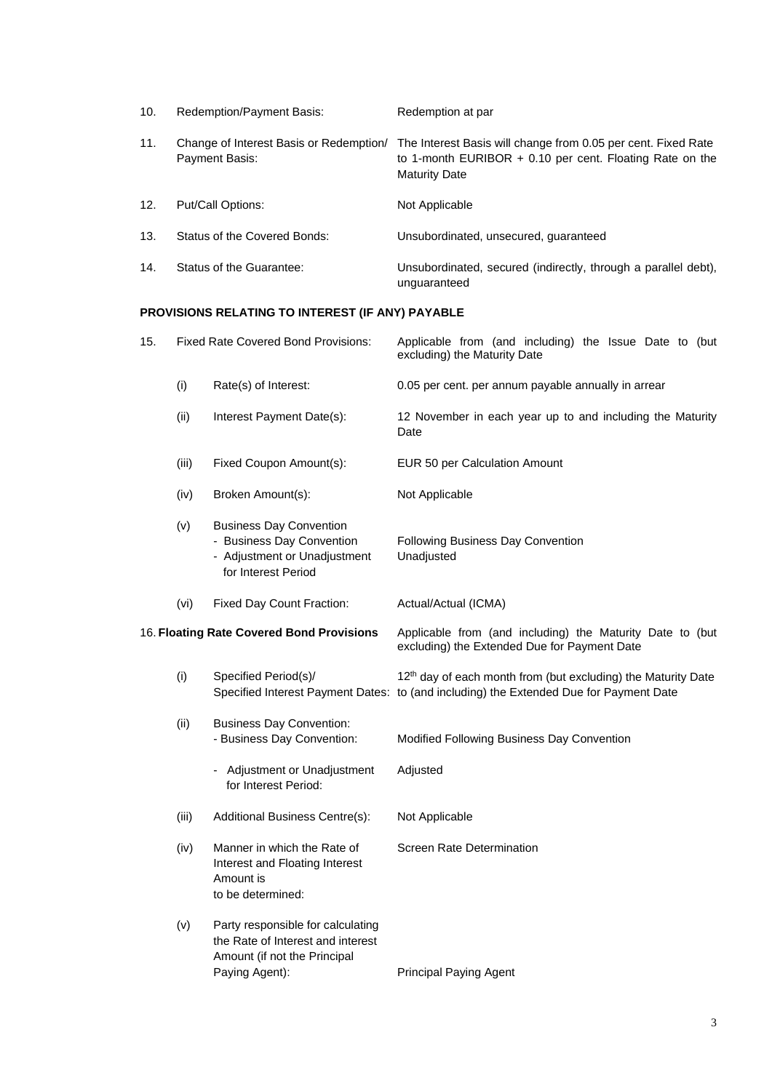| 10. | <b>Redemption/Payment Basis:</b>                          | Redemption at par                                                                                                                                   |
|-----|-----------------------------------------------------------|-----------------------------------------------------------------------------------------------------------------------------------------------------|
| 11. | Change of Interest Basis or Redemption/<br>Payment Basis: | The Interest Basis will change from 0.05 per cent. Fixed Rate<br>to 1-month EURIBOR $+$ 0.10 per cent. Floating Rate on the<br><b>Maturity Date</b> |
| 12. | Put/Call Options:                                         | Not Applicable                                                                                                                                      |
| 13. | Status of the Covered Bonds:                              | Unsubordinated, unsecured, guaranteed                                                                                                               |
| 14. | Status of the Guarantee:                                  | Unsubordinated, secured (indirectly, through a parallel debt),<br>unguaranteed                                                                      |

# **PROVISIONS RELATING TO INTEREST (IF ANY) PAYABLE**

| 15. |       | <b>Fixed Rate Covered Bond Provisions:</b>                                                                               | Applicable from (and including) the Issue Date to (but<br>excluding) the Maturity Date                                                                              |
|-----|-------|--------------------------------------------------------------------------------------------------------------------------|---------------------------------------------------------------------------------------------------------------------------------------------------------------------|
|     | (i)   | Rate(s) of Interest:                                                                                                     | 0.05 per cent. per annum payable annually in arrear                                                                                                                 |
|     | (ii)  | Interest Payment Date(s):                                                                                                | 12 November in each year up to and including the Maturity<br>Date                                                                                                   |
|     | (iii) | Fixed Coupon Amount(s):                                                                                                  | EUR 50 per Calculation Amount                                                                                                                                       |
|     | (iv)  | Broken Amount(s):                                                                                                        | Not Applicable                                                                                                                                                      |
|     | (v)   | <b>Business Day Convention</b><br>- Business Day Convention<br>- Adjustment or Unadjustment<br>for Interest Period       | Following Business Day Convention<br>Unadjusted                                                                                                                     |
|     | (vi)  | Fixed Day Count Fraction:                                                                                                | Actual/Actual (ICMA)                                                                                                                                                |
|     |       | 16. Floating Rate Covered Bond Provisions                                                                                | Applicable from (and including) the Maturity Date to (but<br>excluding) the Extended Due for Payment Date                                                           |
|     | (i)   | Specified Period(s)/                                                                                                     | 12 <sup>th</sup> day of each month from (but excluding) the Maturity Date<br>Specified Interest Payment Dates: to (and including) the Extended Due for Payment Date |
|     | (ii)  | <b>Business Day Convention:</b><br>- Business Day Convention:                                                            | Modified Following Business Day Convention                                                                                                                          |
|     |       | - Adjustment or Unadjustment<br>for Interest Period:                                                                     | Adjusted                                                                                                                                                            |
|     | (iii) | Additional Business Centre(s):                                                                                           | Not Applicable                                                                                                                                                      |
|     | (iv)  | Manner in which the Rate of<br>Interest and Floating Interest<br>Amount is<br>to be determined:                          | Screen Rate Determination                                                                                                                                           |
|     | (v)   | Party responsible for calculating<br>the Rate of Interest and interest<br>Amount (if not the Principal<br>Paying Agent): | <b>Principal Paying Agent</b>                                                                                                                                       |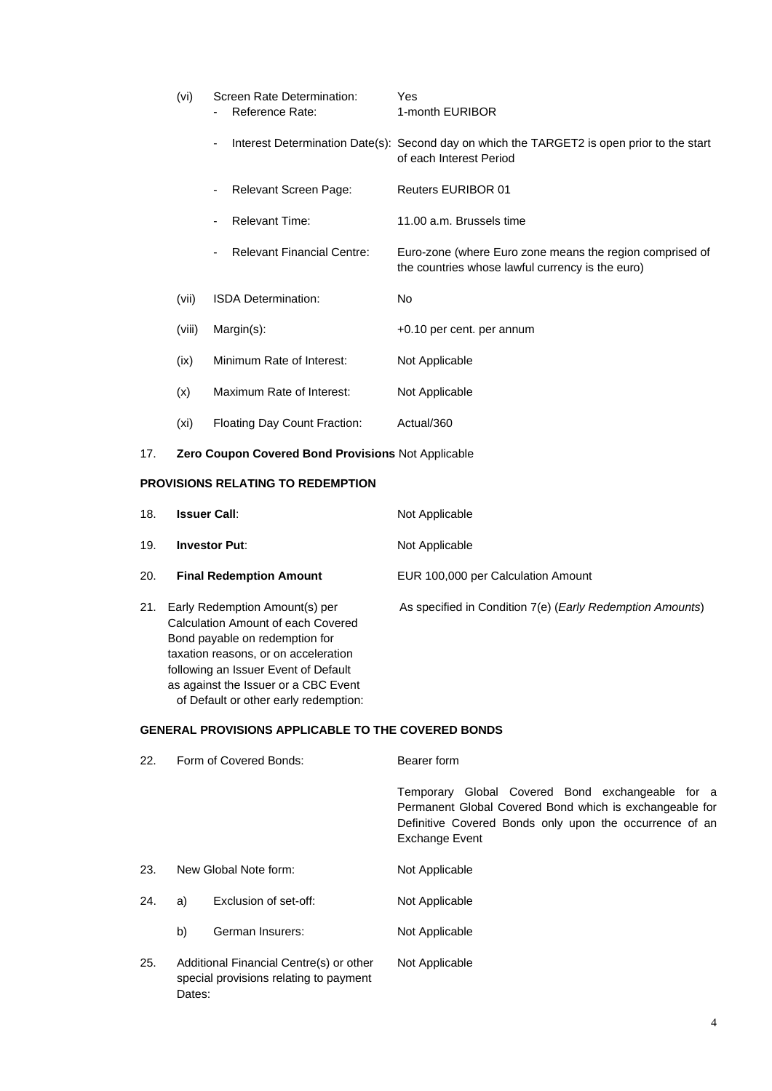| (vi)   | Screen Rate Determination:<br>Reference Rate: | Yes<br>1-month EURIBOR                                                                                                |
|--------|-----------------------------------------------|-----------------------------------------------------------------------------------------------------------------------|
|        | ۰                                             | Interest Determination Date(s): Second day on which the TARGET2 is open prior to the start<br>of each Interest Period |
|        | Relevant Screen Page:<br>-                    | <b>Reuters EURIBOR 01</b>                                                                                             |
|        | Relevant Time:<br>٠                           | 11.00 a.m. Brussels time                                                                                              |
|        | Relevant Financial Centre:<br>۰               | Euro-zone (where Euro zone means the region comprised of<br>the countries whose lawful currency is the euro)          |
| (vii)  | <b>ISDA Determination:</b>                    | No                                                                                                                    |
| (viii) | $Margin(s)$ :                                 | +0.10 per cent. per annum                                                                                             |
| (ix)   | Minimum Rate of Interest:                     | Not Applicable                                                                                                        |
| (x)    | Maximum Rate of Interest:                     | Not Applicable                                                                                                        |
| (xi)   | Floating Day Count Fraction:                  | Actual/360                                                                                                            |

17. **Zero Coupon Covered Bond Provisions** Not Applicable

# **PROVISIONS RELATING TO REDEMPTION**

as against the Issuer or a CBC Event of Default or other early redemption:

| 18. | <b>Issuer Call:</b>                                                                                                                                                                    | Not Applicable                                                     |
|-----|----------------------------------------------------------------------------------------------------------------------------------------------------------------------------------------|--------------------------------------------------------------------|
| 19. | <b>Investor Put:</b>                                                                                                                                                                   | Not Applicable                                                     |
| 20. | <b>Final Redemption Amount</b>                                                                                                                                                         | EUR 100,000 per Calculation Amount                                 |
| 21. | Early Redemption Amount(s) per<br>Calculation Amount of each Covered<br>Bond payable on redemption for<br>taxation reasons, or on acceleration<br>following an Issuer Event of Default | As specified in Condition 7(e) ( <i>Early Redemption Amounts</i> ) |

# **GENERAL PROVISIONS APPLICABLE TO THE COVERED BONDS**

| 22. | Form of Covered Bonds:                                                                      | Bearer form                                                                                                                                                                                     |
|-----|---------------------------------------------------------------------------------------------|-------------------------------------------------------------------------------------------------------------------------------------------------------------------------------------------------|
|     |                                                                                             | Temporary Global Covered Bond exchangeable for a<br>Permanent Global Covered Bond which is exchangeable for<br>Definitive Covered Bonds only upon the occurrence of an<br><b>Exchange Event</b> |
| 23. | New Global Note form:                                                                       | Not Applicable                                                                                                                                                                                  |
| 24. | Exclusion of set-off:<br>a)                                                                 | Not Applicable                                                                                                                                                                                  |
|     | b)<br>German Insurers:                                                                      | Not Applicable                                                                                                                                                                                  |
| 25. | Additional Financial Centre(s) or other<br>special provisions relating to payment<br>Dates: | Not Applicable                                                                                                                                                                                  |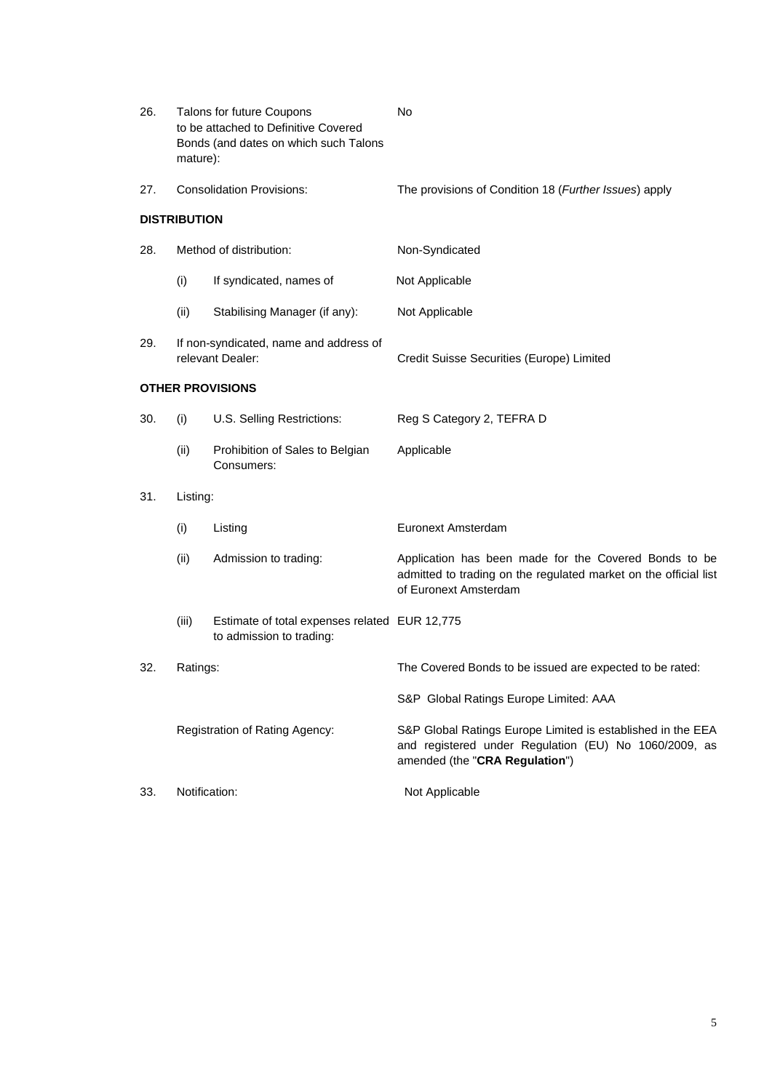| 26. | mature):            | Talons for future Coupons<br>to be attached to Definitive Covered<br>Bonds (and dates on which such Talons | <b>No</b>                                                                                                                                              |
|-----|---------------------|------------------------------------------------------------------------------------------------------------|--------------------------------------------------------------------------------------------------------------------------------------------------------|
| 27. |                     | <b>Consolidation Provisions:</b>                                                                           | The provisions of Condition 18 (Further Issues) apply                                                                                                  |
|     | <b>DISTRIBUTION</b> |                                                                                                            |                                                                                                                                                        |
| 28. |                     | Method of distribution:                                                                                    | Non-Syndicated                                                                                                                                         |
|     | (i)                 | If syndicated, names of                                                                                    | Not Applicable                                                                                                                                         |
|     | (ii)                | Stabilising Manager (if any):                                                                              | Not Applicable                                                                                                                                         |
| 29. |                     | If non-syndicated, name and address of<br>relevant Dealer:                                                 | Credit Suisse Securities (Europe) Limited                                                                                                              |
|     |                     | <b>OTHER PROVISIONS</b>                                                                                    |                                                                                                                                                        |
| 30. | (i)                 | U.S. Selling Restrictions:                                                                                 | Reg S Category 2, TEFRA D                                                                                                                              |
|     | (ii)                | Prohibition of Sales to Belgian<br>Consumers:                                                              | Applicable                                                                                                                                             |
| 31. | Listing:            |                                                                                                            |                                                                                                                                                        |
|     | (i)                 | Listing                                                                                                    | Euronext Amsterdam                                                                                                                                     |
|     | (ii)                | Admission to trading:                                                                                      | Application has been made for the Covered Bonds to be<br>admitted to trading on the regulated market on the official list<br>of Euronext Amsterdam     |
|     | (iii)               | Estimate of total expenses related EUR 12,775<br>to admission to trading:                                  |                                                                                                                                                        |
| 32. | Ratings:            |                                                                                                            | The Covered Bonds to be issued are expected to be rated:                                                                                               |
|     |                     |                                                                                                            | S&P Global Ratings Europe Limited: AAA                                                                                                                 |
|     |                     | Registration of Rating Agency:                                                                             | S&P Global Ratings Europe Limited is established in the EEA<br>and registered under Regulation (EU) No 1060/2009, as<br>amended (the "CRA Regulation") |
| 33. | Notification:       |                                                                                                            | Not Applicable                                                                                                                                         |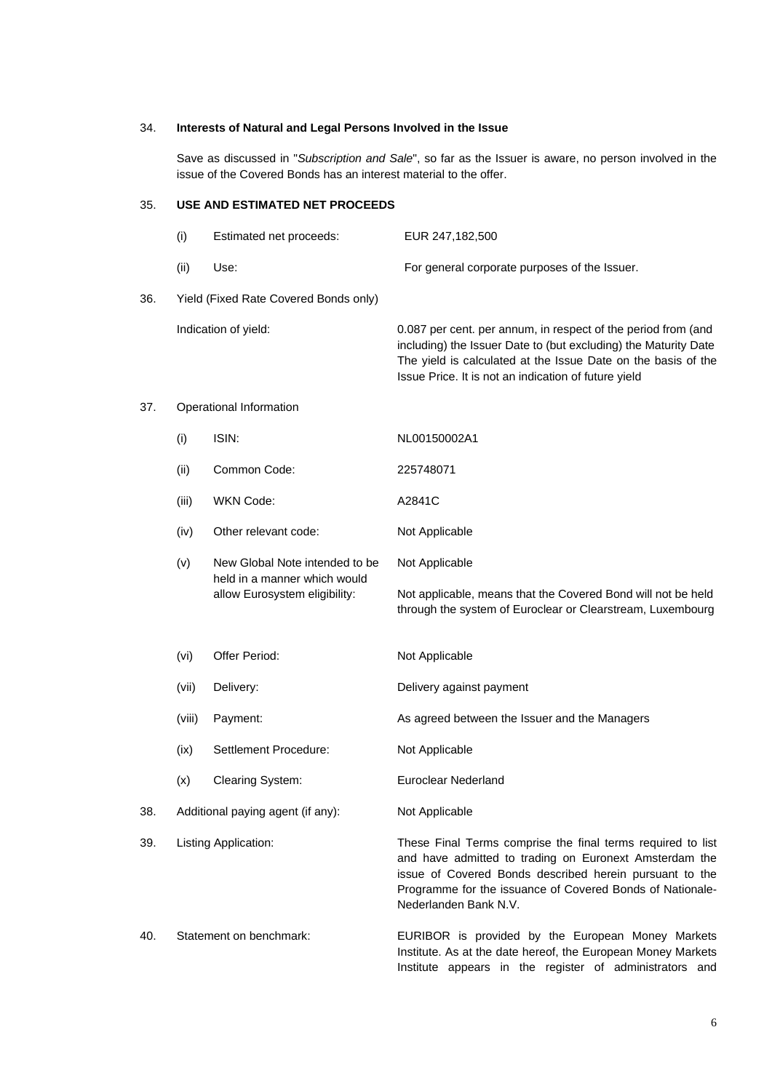### 34. **Interests of Natural and Legal Persons Involved in the Issue**

Save as discussed in "*Subscription and Sale*", so far as the Issuer is aware, no person involved in the issue of the Covered Bonds has an interest material to the offer.

# 35. **USE AND ESTIMATED NET PROCEEDS**

|     | (i)    | Estimated net proceeds:                                                                         | EUR 247,182,500                                                                                                                                                                                                                                           |
|-----|--------|-------------------------------------------------------------------------------------------------|-----------------------------------------------------------------------------------------------------------------------------------------------------------------------------------------------------------------------------------------------------------|
|     | (ii)   | Use:                                                                                            | For general corporate purposes of the Issuer.                                                                                                                                                                                                             |
| 36. |        | Yield (Fixed Rate Covered Bonds only)                                                           |                                                                                                                                                                                                                                                           |
|     |        | Indication of yield:                                                                            | 0.087 per cent. per annum, in respect of the period from (and<br>including) the Issuer Date to (but excluding) the Maturity Date<br>The yield is calculated at the Issue Date on the basis of the<br>Issue Price. It is not an indication of future yield |
| 37. |        | Operational Information                                                                         |                                                                                                                                                                                                                                                           |
|     | (i)    | ISIN:                                                                                           | NL00150002A1                                                                                                                                                                                                                                              |
|     | (ii)   | Common Code:                                                                                    | 225748071                                                                                                                                                                                                                                                 |
|     | (iii)  | <b>WKN Code:</b>                                                                                | A2841C                                                                                                                                                                                                                                                    |
|     | (iv)   | Other relevant code:                                                                            | Not Applicable                                                                                                                                                                                                                                            |
|     | (v)    | New Global Note intended to be<br>held in a manner which would<br>allow Eurosystem eligibility: | Not Applicable                                                                                                                                                                                                                                            |
|     |        |                                                                                                 | Not applicable, means that the Covered Bond will not be held<br>through the system of Euroclear or Clearstream, Luxembourg                                                                                                                                |
|     | (vi)   | Offer Period:                                                                                   | Not Applicable                                                                                                                                                                                                                                            |
|     | (vii)  | Delivery:                                                                                       | Delivery against payment                                                                                                                                                                                                                                  |
|     | (viii) | Payment:                                                                                        | As agreed between the Issuer and the Managers                                                                                                                                                                                                             |
|     | (ix)   | Settlement Procedure:                                                                           | Not Applicable                                                                                                                                                                                                                                            |
|     | (x)    | Clearing System:                                                                                | <b>Euroclear Nederland</b>                                                                                                                                                                                                                                |

38. Additional paying agent (if any): Not Applicable

39. Listing Application: These Final Terms comprise the final terms required to list and have admitted to trading on Euronext Amsterdam the issue of Covered Bonds described herein pursuant to the Programme for the issuance of Covered Bonds of Nationale-Nederlanden Bank N.V.

# 40. Statement on benchmark: EURIBOR is provided by the European Money Markets Institute. As at the date hereof, the European Money Markets Institute appears in the register of administrators and